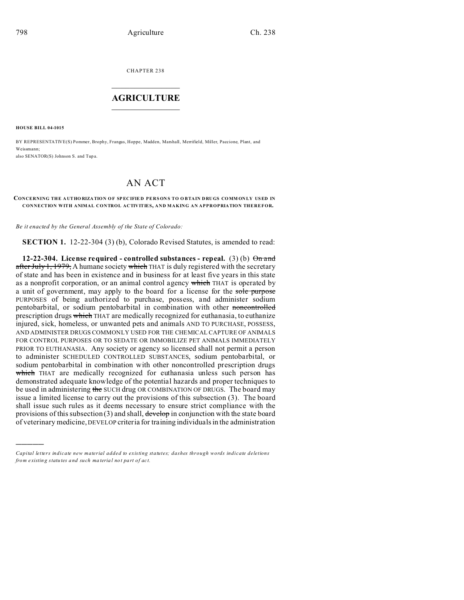CHAPTER 238  $\overline{\phantom{a}}$  , where  $\overline{\phantom{a}}$ 

## **AGRICULTURE**  $\_$   $\_$   $\_$   $\_$   $\_$   $\_$   $\_$   $\_$

**HOUSE BILL 04-1015**

)))))

BY REPRESENTATIVE(S) Pommer, Brophy, Frangas, Hoppe, Madden, Marshall, Merrifield, Miller, Paccione, Plant, and Weissmann; also SENATOR(S) Johnson S. and Tup a.

## AN ACT

## **CONCERNING THE A UTHO RIZATION O F SP EC IFIE D PERS ON S TO O BTAIN DRUGS CO MM ON LY USED IN CONNECTION WITH ANIMAL CONTROL ACTIVITIES, AND MAKING AN APPROPRIATION THEREFOR.**

*Be it enacted by the General Assembly of the State of Colorado:*

**SECTION 1.** 12-22-304 (3) (b), Colorado Revised Statutes, is amended to read:

**12-22-304.** License required - controlled substances - repeal. (3) (b)  $\Theta$ n and after July 1, 1979, A humane society which THAT is duly registered with the secretary of state and has been in existence and in business for at least five years in this state as a nonprofit corporation, or an animal control agency which THAT is operated by a unit of government, may apply to the board for a license for the sole purpose PURPOSES of being authorized to purchase, possess, and administer sodium pentobarbital, or sodium pentobarbital in combination with other noncontrolled prescription drugs which THAT are medically recognized for euthanasia, to euthanize injured, sick, homeless, or unwanted pets and animals AND TO PURCHASE, POSSESS, AND ADMINISTER DRUGS COMMONLY USED FOR THE CHEMICAL CAPTURE OF ANIMALS FOR CONTROL PURPOSES OR TO SEDATE OR IMMOBILIZE PET ANIMALS IMMEDIATELY PRIOR TO EUTHANASIA. Any society or agency so licensed shall not permit a person to administer SCHEDULED CONTROLLED SUBSTANCES, sodium pentobarbital, or sodium pentobarbital in combination with other noncontrolled prescription drugs which THAT are medically recognized for euthanasia unless such person has demonstrated adequate knowledge of the potential hazards and proper techniques to be used in administering the SUCH drug OR COMBINATION OF DRUGS. The board may issue a limited license to carry out the provisions of this subsection (3). The board shall issue such rules as it deems necessary to ensure strict compliance with the provisions of this subsection  $(3)$  and shall, develop in conjunction with the state board of veterinary medicine,DEVELOP criteria for training individuals in the administration

*Capital letters indicate new material added to existing statutes; dashes through words indicate deletions from e xistin g statu tes a nd such ma teria l no t pa rt of ac t.*